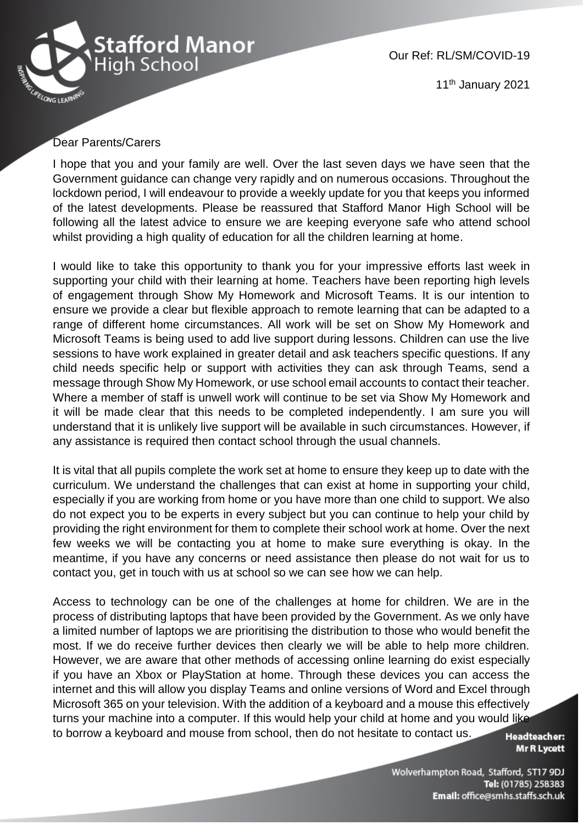

Our Ref: RL/SM/COVID-19

11<sup>th</sup> January 2021

## Dear Parents/Carers

I hope that you and your family are well. Over the last seven days we have seen that the Government guidance can change very rapidly and on numerous occasions. Throughout the lockdown period, I will endeavour to provide a weekly update for you that keeps you informed of the latest developments. Please be reassured that Stafford Manor High School will be following all the latest advice to ensure we are keeping everyone safe who attend school whilst providing a high quality of education for all the children learning at home.

I would like to take this opportunity to thank you for your impressive efforts last week in supporting your child with their learning at home. Teachers have been reporting high levels of engagement through Show My Homework and Microsoft Teams. It is our intention to ensure we provide a clear but flexible approach to remote learning that can be adapted to a range of different home circumstances. All work will be set on Show My Homework and Microsoft Teams is being used to add live support during lessons. Children can use the live sessions to have work explained in greater detail and ask teachers specific questions. If any child needs specific help or support with activities they can ask through Teams, send a message through Show My Homework, or use school email accounts to contact their teacher. Where a member of staff is unwell work will continue to be set via Show My Homework and it will be made clear that this needs to be completed independently. I am sure you will understand that it is unlikely live support will be available in such circumstances. However, if any assistance is required then contact school through the usual channels.

It is vital that all pupils complete the work set at home to ensure they keep up to date with the curriculum. We understand the challenges that can exist at home in supporting your child, especially if you are working from home or you have more than one child to support. We also do not expect you to be experts in every subject but you can continue to help your child by providing the right environment for them to complete their school work at home. Over the next few weeks we will be contacting you at home to make sure everything is okay. In the meantime, if you have any concerns or need assistance then please do not wait for us to contact you, get in touch with us at school so we can see how we can help.

Access to technology can be one of the challenges at home for children. We are in the process of distributing laptops that have been provided by the Government. As we only have a limited number of laptops we are prioritising the distribution to those who would benefit the most. If we do receive further devices then clearly we will be able to help more children. However, we are aware that other methods of accessing online learning do exist especially if you have an Xbox or PlayStation at home. Through these devices you can access the internet and this will allow you display Teams and online versions of Word and Excel through Microsoft 365 on your television. With the addition of a keyboard and a mouse this effectively turns your machine into a computer. If this would help your child at home and you would like to borrow a keyboard and mouse from school, then do not hesitate to contact us.

**Headteacher:** Mr R Lycett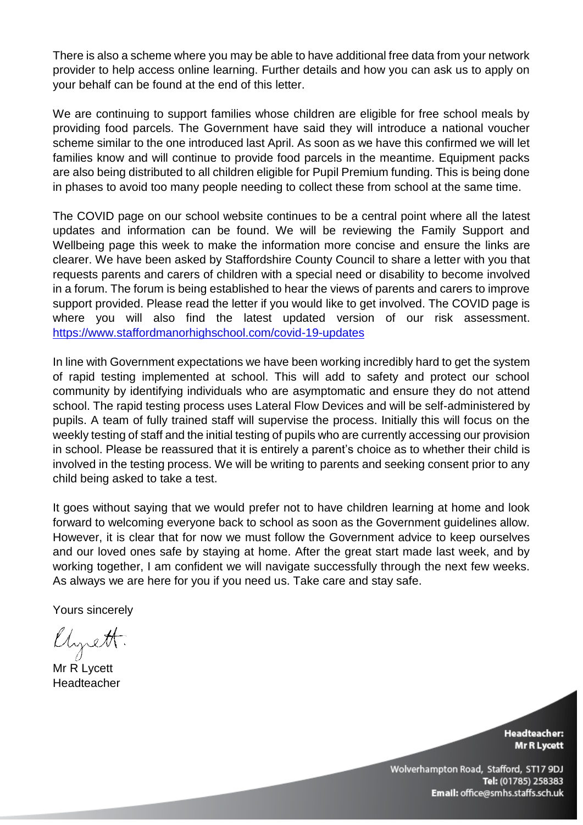There is also a scheme where you may be able to have additional free data from your network provider to help access online learning. Further details and how you can ask us to apply on your behalf can be found at the end of this letter.

We are continuing to support families whose children are eligible for free school meals by providing food parcels. The Government have said they will introduce a national voucher scheme similar to the one introduced last April. As soon as we have this confirmed we will let families know and will continue to provide food parcels in the meantime. Equipment packs are also being distributed to all children eligible for Pupil Premium funding. This is being done in phases to avoid too many people needing to collect these from school at the same time.

The COVID page on our school website continues to be a central point where all the latest updates and information can be found. We will be reviewing the Family Support and Wellbeing page this week to make the information more concise and ensure the links are clearer. We have been asked by Staffordshire County Council to share a letter with you that requests parents and carers of children with a special need or disability to become involved in a forum. The forum is being established to hear the views of parents and carers to improve support provided. Please read the letter if you would like to get involved. The COVID page is where you will also find the latest updated version of our risk assessment. <https://www.staffordmanorhighschool.com/covid-19-updates>

In line with Government expectations we have been working incredibly hard to get the system of rapid testing implemented at school. This will add to safety and protect our school community by identifying individuals who are asymptomatic and ensure they do not attend school. The rapid testing process uses Lateral Flow Devices and will be self-administered by pupils. A team of fully trained staff will supervise the process. Initially this will focus on the weekly testing of staff and the initial testing of pupils who are currently accessing our provision in school. Please be reassured that it is entirely a parent's choice as to whether their child is involved in the testing process. We will be writing to parents and seeking consent prior to any child being asked to take a test.

It goes without saying that we would prefer not to have children learning at home and look forward to welcoming everyone back to school as soon as the Government guidelines allow. However, it is clear that for now we must follow the Government advice to keep ourselves and our loved ones safe by staying at home. After the great start made last week, and by working together, I am confident we will navigate successfully through the next few weeks. As always we are here for you if you need us. Take care and stay safe.

Yours sincerely

Uyrett.

Mr R Lycett Headteacher

**Headteacher: Mr R Lycett**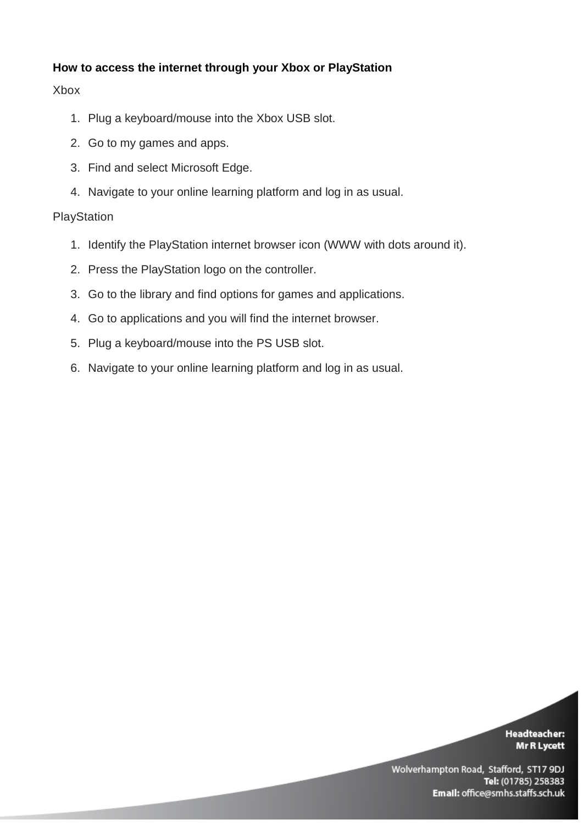# **How to access the internet through your Xbox or PlayStation**

## Xbox

- 1. Plug a keyboard/mouse into the Xbox USB slot.
- 2. Go to my games and apps.
- 3. Find and select Microsoft Edge.
- 4. Navigate to your online learning platform and log in as usual.

# **PlayStation**

- 1. Identify the PlayStation internet browser icon (WWW with dots around it).
- 2. Press the PlayStation logo on the controller.
- 3. Go to the library and find options for games and applications.
- 4. Go to applications and you will find the internet browser.
- 5. Plug a keyboard/mouse into the PS USB slot.
- 6. Navigate to your online learning platform and log in as usual.

#### **Headteacher:** Mr R Lycett